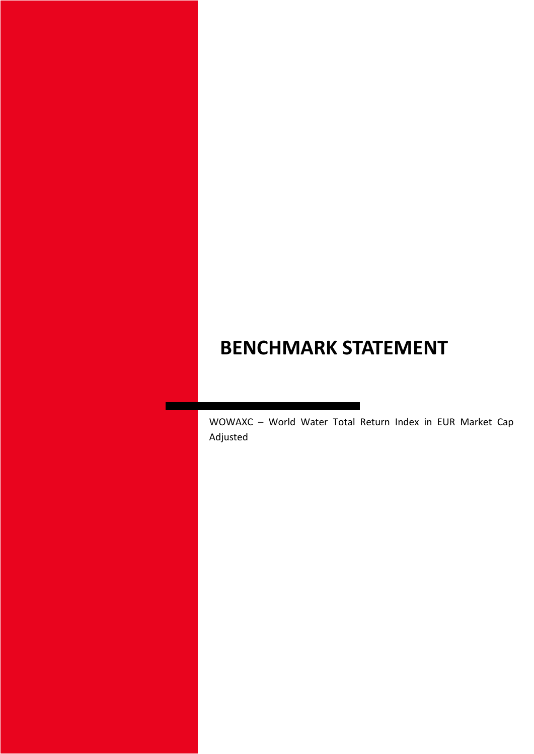# **BENCHMARK STATEMENT**

WOWAXC – World Water Total Return Index in EUR Market Cap Adjusted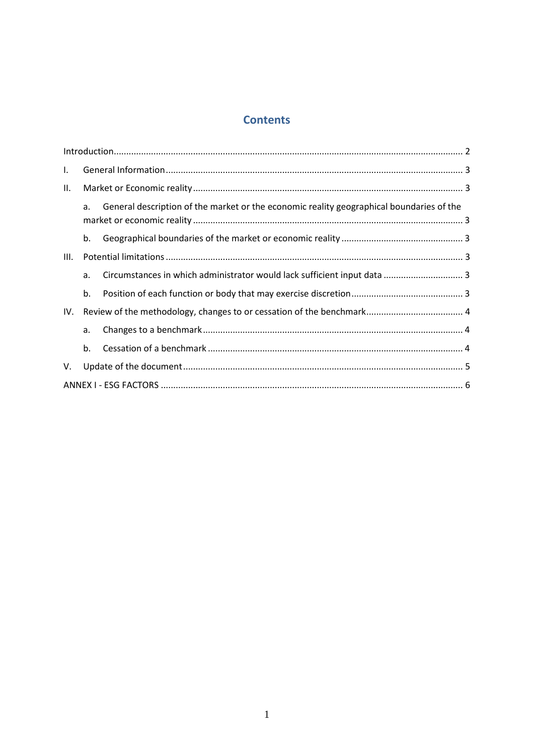# **Contents**

| $\mathbf{I}$ . |    |                                                                                          |  |  |
|----------------|----|------------------------------------------------------------------------------------------|--|--|
| Ш.             |    |                                                                                          |  |  |
|                | a. | General description of the market or the economic reality geographical boundaries of the |  |  |
|                | b. |                                                                                          |  |  |
| III.           |    |                                                                                          |  |  |
|                | a. | Circumstances in which administrator would lack sufficient input data  3                 |  |  |
|                | b. |                                                                                          |  |  |
| IV.            |    |                                                                                          |  |  |
|                | a. |                                                                                          |  |  |
|                | b. |                                                                                          |  |  |
| V.             |    |                                                                                          |  |  |
|                |    |                                                                                          |  |  |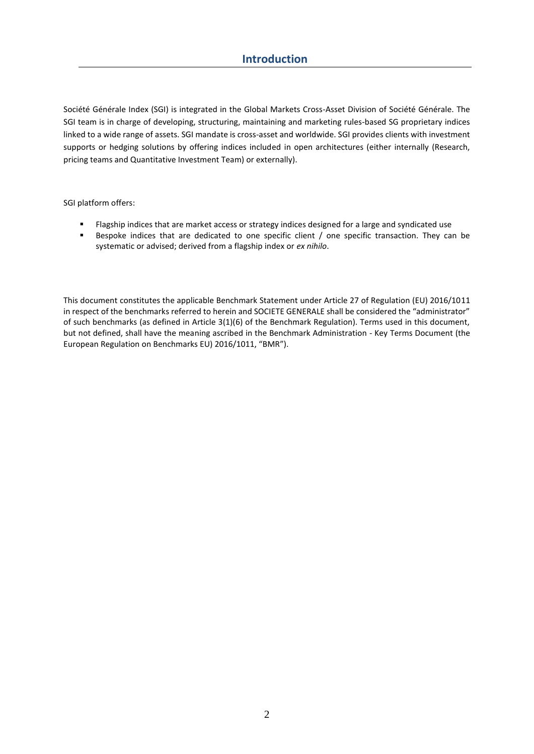Société Générale Index (SGI) is integrated in the Global Markets Cross-Asset Division of Société Générale. The SGI team is in charge of developing, structuring, maintaining and marketing rules-based SG proprietary indices linked to a wide range of assets. SGI mandate is cross-asset and worldwide. SGI provides clients with investment supports or hedging solutions by offering indices included in open architectures (either internally (Research, pricing teams and Quantitative Investment Team) or externally).

SGI platform offers:

- Flagship indices that are market access or strategy indices designed for a large and syndicated use
- Bespoke indices that are dedicated to one specific client / one specific transaction. They can be systematic or advised; derived from a flagship index or *ex nihilo*.

This document constitutes the applicable Benchmark Statement under Article 27 of Regulation (EU) 2016/1011 in respect of the benchmarks referred to herein and SOCIETE GENERALE shall be considered the "administrator" of such benchmarks (as defined in Article 3(1)(6) of the Benchmark Regulation). Terms used in this document, but not defined, shall have the meaning ascribed in the Benchmark Administration - Key Terms Document (the European Regulation on Benchmarks EU) 2016/1011, "BMR").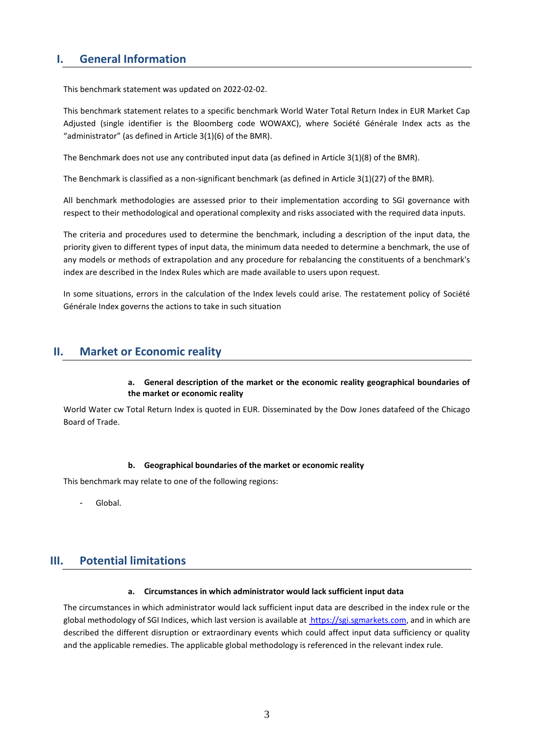# **I. General Information**

This benchmark statement was updated on 2022-02-02.

This benchmark statement relates to a specific benchmark World Water Total Return Index in EUR Market Cap Adjusted (single identifier is the Bloomberg code WOWAXC), where Société Générale Index acts as the "administrator" (as defined in Article 3(1)(6) of the BMR).

The Benchmark does not use any contributed input data (as defined in Article 3(1)(8) of the BMR).

The Benchmark is classified as a non-significant benchmark (as defined in Article 3(1)(27) of the BMR).

All benchmark methodologies are assessed prior to their implementation according to SGI governance with respect to their methodological and operational complexity and risks associated with the required data inputs.

The criteria and procedures used to determine the benchmark, including a description of the input data, the priority given to different types of input data, the minimum data needed to determine a benchmark, the use of any models or methods of extrapolation and any procedure for rebalancing the constituents of a benchmark's index are described in the Index Rules which are made available to users upon request.

In some situations, errors in the calculation of the Index levels could arise. The restatement policy of Société Générale Index governs the actions to take in such situation

# **II. Market or Economic reality**

## **a. General description of the market or the economic reality geographical boundaries of the market or economic reality**

World Water cw Total Return Index is quoted in EUR. Disseminated by the Dow Jones datafeed of the Chicago Board of Trade.

## **b. Geographical boundaries of the market or economic reality**

This benchmark may relate to one of the following regions:

Global.

# **III. Potential limitations**

#### **a. Circumstances in which administrator would lack sufficient input data**

The circumstances in which administrator would lack sufficient input data are described in the index rule or the global methodology of SGI Indices, which last version is available a[t https://sgi.sgmarkets.com,](https://sgi.sgmarkets.com/) and in which are described the different disruption or extraordinary events which could affect input data sufficiency or quality and the applicable remedies. The applicable global methodology is referenced in the relevant index rule.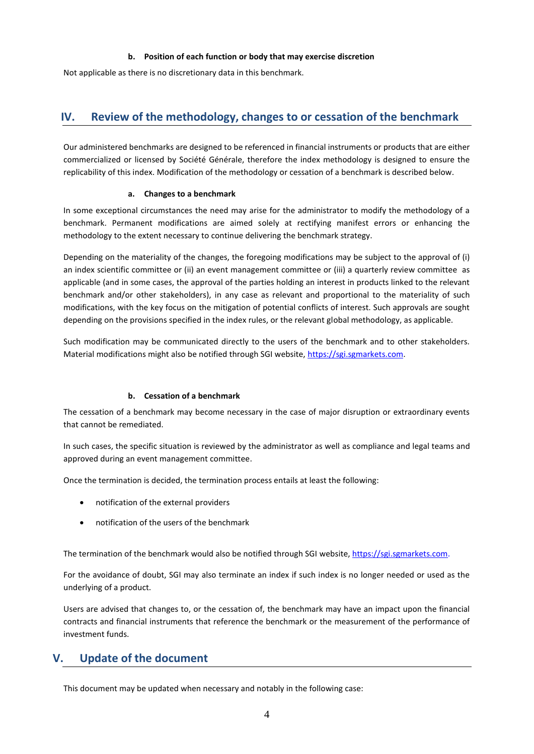## **b. Position of each function or body that may exercise discretion**

Not applicable as there is no discretionary data in this benchmark.

# **IV. Review of the methodology, changes to or cessation of the benchmark**

Our administered benchmarks are designed to be referenced in financial instruments or products that are either commercialized or licensed by Société Générale, therefore the index methodology is designed to ensure the replicability of this index. Modification of the methodology or cessation of a benchmark is described below.

## **a. Changes to a benchmark**

In some exceptional circumstances the need may arise for the administrator to modify the methodology of a benchmark. Permanent modifications are aimed solely at rectifying manifest errors or enhancing the methodology to the extent necessary to continue delivering the benchmark strategy.

Depending on the materiality of the changes, the foregoing modifications may be subject to the approval of (i) an index scientific committee or (ii) an event management committee or (iii) a quarterly review committee as applicable (and in some cases, the approval of the parties holding an interest in products linked to the relevant benchmark and/or other stakeholders), in any case as relevant and proportional to the materiality of such modifications, with the key focus on the mitigation of potential conflicts of interest. Such approvals are sought depending on the provisions specified in the index rules, or the relevant global methodology, as applicable.

Such modification may be communicated directly to the users of the benchmark and to other stakeholders. Material modifications might also be notified through SGI website, [https://sgi.sgmarkets.com.](https://sgi.sgmarkets.com/)

## **b. Cessation of a benchmark**

The cessation of a benchmark may become necessary in the case of major disruption or extraordinary events that cannot be remediated.

In such cases, the specific situation is reviewed by the administrator as well as compliance and legal teams and approved during an event management committee.

Once the termination is decided, the termination process entails at least the following:

- notification of the external providers
- notification of the users of the benchmark

The termination of the benchmark would also be notified through SGI website, [https://sgi.sgmarkets.com.](https://sgi.sgmarkets.com/)

For the avoidance of doubt, SGI may also terminate an index if such index is no longer needed or used as the underlying of a product.

Users are advised that changes to, or the cessation of, the benchmark may have an impact upon the financial contracts and financial instruments that reference the benchmark or the measurement of the performance of investment funds.

# **V. Update of the document**

This document may be updated when necessary and notably in the following case: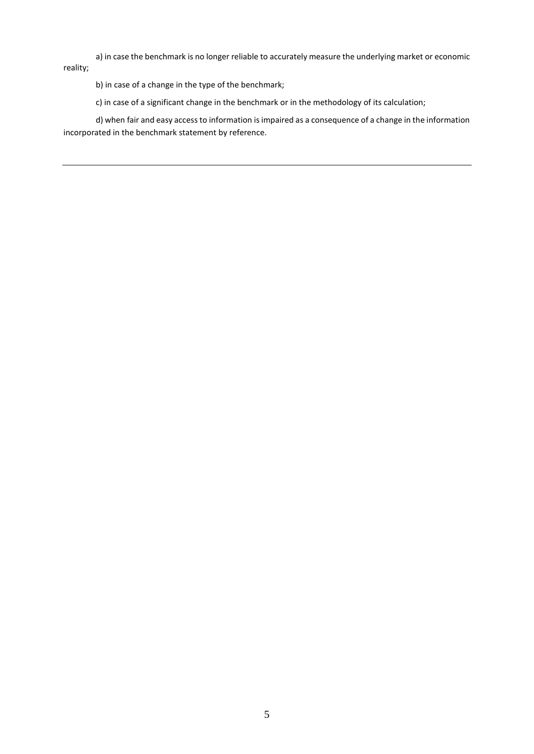a) in case the benchmark is no longer reliable to accurately measure the underlying market or economic reality;

b) in case of a change in the type of the benchmark;

c) in case of a significant change in the benchmark or in the methodology of its calculation;

d) when fair and easy access to information is impaired as a consequence of a change in the information incorporated in the benchmark statement by reference.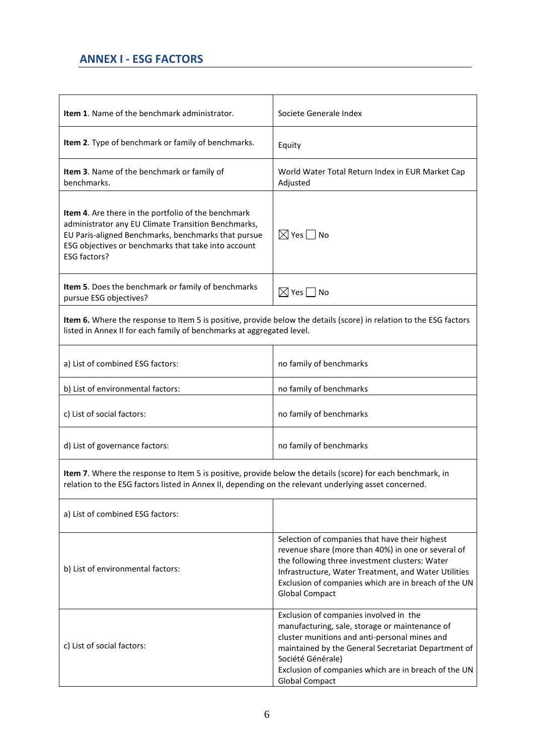# **ANNEX I - ESG FACTORS**

| <b>Item 1.</b> Name of the benchmark administrator.                                                                                                                                                                                             | Societe Generale Index                                                                                                                                                                                                                                                                                 |  |  |  |
|-------------------------------------------------------------------------------------------------------------------------------------------------------------------------------------------------------------------------------------------------|--------------------------------------------------------------------------------------------------------------------------------------------------------------------------------------------------------------------------------------------------------------------------------------------------------|--|--|--|
| Item 2. Type of benchmark or family of benchmarks.                                                                                                                                                                                              | Equity                                                                                                                                                                                                                                                                                                 |  |  |  |
| Item 3. Name of the benchmark or family of<br>benchmarks.                                                                                                                                                                                       | World Water Total Return Index in EUR Market Cap<br>Adjusted                                                                                                                                                                                                                                           |  |  |  |
| Item 4. Are there in the portfolio of the benchmark<br>administrator any EU Climate Transition Benchmarks,<br>EU Paris-aligned Benchmarks, benchmarks that pursue<br>ESG objectives or benchmarks that take into account<br><b>ESG factors?</b> | $\boxtimes$ Yes $\Box$ No                                                                                                                                                                                                                                                                              |  |  |  |
| Item 5. Does the benchmark or family of benchmarks<br>pursue ESG objectives?                                                                                                                                                                    | $\boxtimes$ Yes $\Box$ No                                                                                                                                                                                                                                                                              |  |  |  |
| Item 6. Where the response to Item 5 is positive, provide below the details (score) in relation to the ESG factors<br>listed in Annex II for each family of benchmarks at aggregated level.                                                     |                                                                                                                                                                                                                                                                                                        |  |  |  |
| a) List of combined ESG factors:                                                                                                                                                                                                                | no family of benchmarks                                                                                                                                                                                                                                                                                |  |  |  |
| b) List of environmental factors:                                                                                                                                                                                                               | no family of benchmarks                                                                                                                                                                                                                                                                                |  |  |  |
| c) List of social factors:                                                                                                                                                                                                                      | no family of benchmarks                                                                                                                                                                                                                                                                                |  |  |  |
| d) List of governance factors:                                                                                                                                                                                                                  | no family of benchmarks                                                                                                                                                                                                                                                                                |  |  |  |
| Item 7. Where the response to Item 5 is positive, provide below the details (score) for each benchmark, in<br>relation to the ESG factors listed in Annex II, depending on the relevant underlying asset concerned.                             |                                                                                                                                                                                                                                                                                                        |  |  |  |
| a) List of combined ESG factors:                                                                                                                                                                                                                |                                                                                                                                                                                                                                                                                                        |  |  |  |
| b) List of environmental factors:                                                                                                                                                                                                               | Selection of companies that have their highest<br>revenue share (more than 40%) in one or several of<br>the following three investment clusters: Water<br>Infrastructure, Water Treatment, and Water Utilities<br>Exclusion of companies which are in breach of the UN<br><b>Global Compact</b>        |  |  |  |
| c) List of social factors:                                                                                                                                                                                                                      | Exclusion of companies involved in the<br>manufacturing, sale, storage or maintenance of<br>cluster munitions and anti-personal mines and<br>maintained by the General Secretariat Department of<br>Société Générale)<br>Exclusion of companies which are in breach of the UN<br><b>Global Compact</b> |  |  |  |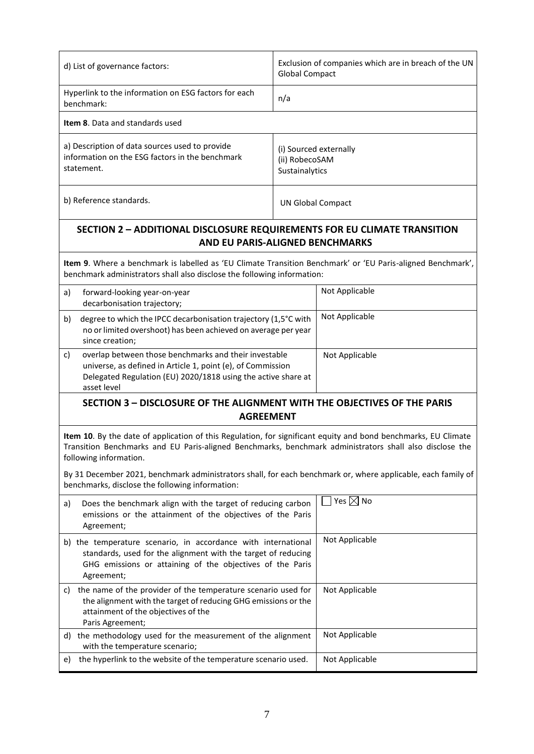| d) List of governance factors:                                                                                                                                                                                                                      | <b>Global Compact</b>                                      | Exclusion of companies which are in breach of the UN |  |  |  |
|-----------------------------------------------------------------------------------------------------------------------------------------------------------------------------------------------------------------------------------------------------|------------------------------------------------------------|------------------------------------------------------|--|--|--|
| Hyperlink to the information on ESG factors for each<br>benchmark:                                                                                                                                                                                  | n/a                                                        |                                                      |  |  |  |
| Item 8. Data and standards used                                                                                                                                                                                                                     |                                                            |                                                      |  |  |  |
| a) Description of data sources used to provide<br>information on the ESG factors in the benchmark<br>statement.                                                                                                                                     | (i) Sourced externally<br>(ii) RobecoSAM<br>Sustainalytics |                                                      |  |  |  |
| b) Reference standards.                                                                                                                                                                                                                             | <b>UN Global Compact</b>                                   |                                                      |  |  |  |
| <b>SECTION 2 - ADDITIONAL DISCLOSURE REQUIREMENTS FOR EU CLIMATE TRANSITION</b><br><b>AND EU PARIS-ALIGNED BENCHMARKS</b>                                                                                                                           |                                                            |                                                      |  |  |  |
| Item 9. Where a benchmark is labelled as 'EU Climate Transition Benchmark' or 'EU Paris-aligned Benchmark',<br>benchmark administrators shall also disclose the following information:                                                              |                                                            |                                                      |  |  |  |
| forward-looking year-on-year<br>a)<br>decarbonisation trajectory;                                                                                                                                                                                   |                                                            | Not Applicable                                       |  |  |  |
| degree to which the IPCC decarbonisation trajectory (1,5°C with<br>b)<br>no or limited overshoot) has been achieved on average per year<br>since creation;                                                                                          |                                                            | Not Applicable                                       |  |  |  |
| overlap between those benchmarks and their investable<br>c)<br>universe, as defined in Article 1, point (e), of Commission<br>Delegated Regulation (EU) 2020/1818 using the active share at<br>asset level                                          |                                                            | Not Applicable                                       |  |  |  |
| <b>SECTION 3 - DISCLOSURE OF THE ALIGNMENT WITH THE OBJECTIVES OF THE PARIS</b><br><b>AGREEMENT</b>                                                                                                                                                 |                                                            |                                                      |  |  |  |
| Item 10. By the date of application of this Regulation, for significant equity and bond benchmarks, EU Climate<br>Transition Benchmarks and EU Paris-aligned Benchmarks, benchmark administrators shall also disclose the<br>following information. |                                                            |                                                      |  |  |  |
| By 31 December 2021, benchmark administrators shall, for each benchmark or, where applicable, each family of<br>benchmarks, disclose the following information:                                                                                     |                                                            |                                                      |  |  |  |
| Does the benchmark align with the target of reducing carbon<br>a)<br>emissions or the attainment of the objectives of the Paris<br>Agreement;                                                                                                       |                                                            | $\square$ Yes $\square$ No                           |  |  |  |
| b) the temperature scenario, in accordance with international<br>standards, used for the alignment with the target of reducing<br>GHG emissions or attaining of the objectives of the Paris<br>Agreement;                                           |                                                            | Not Applicable                                       |  |  |  |
| c) the name of the provider of the temperature scenario used for<br>the alignment with the target of reducing GHG emissions or the<br>attainment of the objectives of the<br>Paris Agreement;                                                       |                                                            | Not Applicable                                       |  |  |  |
| d) the methodology used for the measurement of the alignment<br>with the temperature scenario;                                                                                                                                                      |                                                            | Not Applicable                                       |  |  |  |
| the hyperlink to the website of the temperature scenario used.<br>e)                                                                                                                                                                                |                                                            | Not Applicable                                       |  |  |  |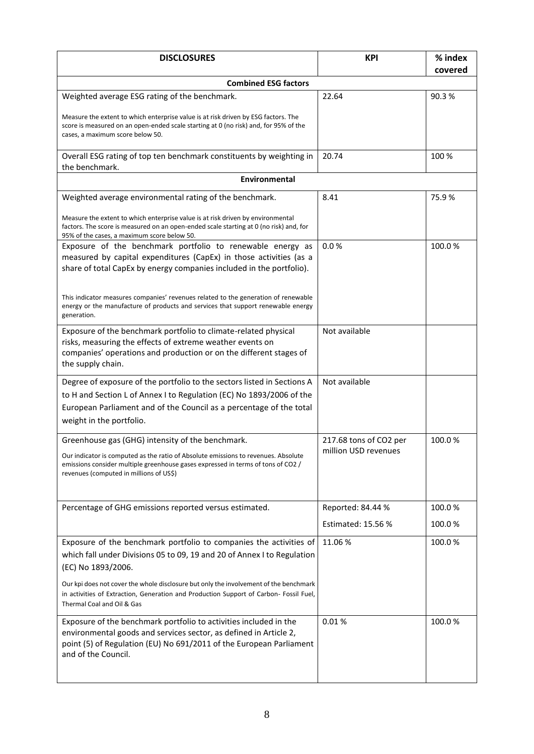| <b>DISCLOSURES</b>                                                                                                                                                                                                                                                                                                                                                                                | <b>KPI</b>                                     | % index |  |  |  |
|---------------------------------------------------------------------------------------------------------------------------------------------------------------------------------------------------------------------------------------------------------------------------------------------------------------------------------------------------------------------------------------------------|------------------------------------------------|---------|--|--|--|
|                                                                                                                                                                                                                                                                                                                                                                                                   |                                                | covered |  |  |  |
| <b>Combined ESG factors</b>                                                                                                                                                                                                                                                                                                                                                                       |                                                |         |  |  |  |
| Weighted average ESG rating of the benchmark.                                                                                                                                                                                                                                                                                                                                                     | 22.64                                          | 90.3%   |  |  |  |
| Measure the extent to which enterprise value is at risk driven by ESG factors. The<br>score is measured on an open-ended scale starting at 0 (no risk) and, for 95% of the<br>cases, a maximum score below 50.                                                                                                                                                                                    |                                                |         |  |  |  |
| Overall ESG rating of top ten benchmark constituents by weighting in<br>the benchmark.                                                                                                                                                                                                                                                                                                            | 20.74                                          | 100 %   |  |  |  |
| <b>Environmental</b>                                                                                                                                                                                                                                                                                                                                                                              |                                                |         |  |  |  |
| Weighted average environmental rating of the benchmark.                                                                                                                                                                                                                                                                                                                                           | 8.41                                           | 75.9%   |  |  |  |
| Measure the extent to which enterprise value is at risk driven by environmental<br>factors. The score is measured on an open-ended scale starting at 0 (no risk) and, for<br>95% of the cases, a maximum score below 50.                                                                                                                                                                          |                                                |         |  |  |  |
| Exposure of the benchmark portfolio to renewable energy as<br>measured by capital expenditures (CapEx) in those activities (as a<br>share of total CapEx by energy companies included in the portfolio).<br>This indicator measures companies' revenues related to the generation of renewable<br>energy or the manufacture of products and services that support renewable energy<br>generation. | 0.0%                                           | 100.0%  |  |  |  |
| Exposure of the benchmark portfolio to climate-related physical<br>risks, measuring the effects of extreme weather events on<br>companies' operations and production or on the different stages of<br>the supply chain.                                                                                                                                                                           | Not available                                  |         |  |  |  |
| Degree of exposure of the portfolio to the sectors listed in Sections A<br>to H and Section L of Annex I to Regulation (EC) No 1893/2006 of the<br>European Parliament and of the Council as a percentage of the total<br>weight in the portfolio.                                                                                                                                                | Not available                                  |         |  |  |  |
| Greenhouse gas (GHG) intensity of the benchmark.<br>Our indicator is computed as the ratio of Absolute emissions to revenues. Absolute<br>emissions consider multiple greenhouse gases expressed in terms of tons of CO2 /<br>revenues (computed in millions of US\$)                                                                                                                             | 217.68 tons of CO2 per<br>million USD revenues | 100.0%  |  |  |  |
| Percentage of GHG emissions reported versus estimated.                                                                                                                                                                                                                                                                                                                                            | Reported: 84.44 %                              | 100.0%  |  |  |  |
|                                                                                                                                                                                                                                                                                                                                                                                                   | Estimated: 15.56 %                             | 100.0%  |  |  |  |
| Exposure of the benchmark portfolio to companies the activities of<br>which fall under Divisions 05 to 09, 19 and 20 of Annex I to Regulation<br>(EC) No 1893/2006.<br>Our kpi does not cover the whole disclosure but only the involvement of the benchmark<br>in activities of Extraction, Generation and Production Support of Carbon- Fossil Fuel,<br>Thermal Coal and Oil & Gas              | 11.06%                                         | 100.0%  |  |  |  |
| Exposure of the benchmark portfolio to activities included in the<br>environmental goods and services sector, as defined in Article 2,<br>point (5) of Regulation (EU) No 691/2011 of the European Parliament<br>and of the Council.                                                                                                                                                              | 0.01%                                          | 100.0%  |  |  |  |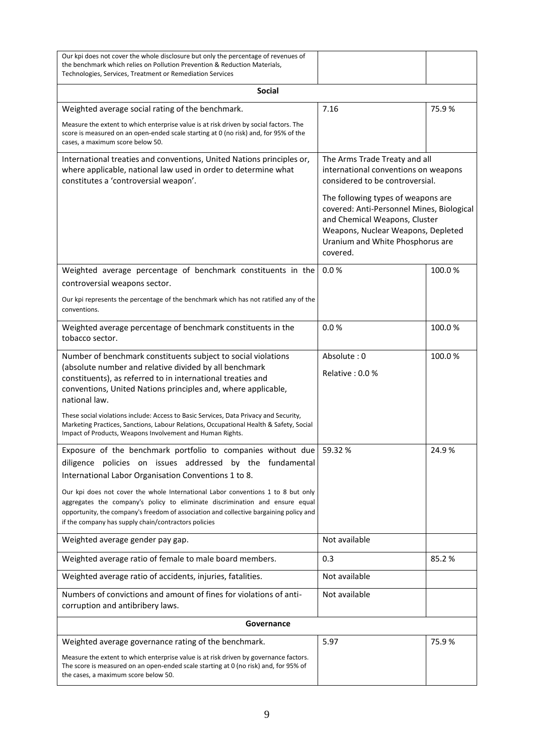| Our kpi does not cover the whole disclosure but only the percentage of revenues of<br>the benchmark which relies on Pollution Prevention & Reduction Materials,<br>Technologies, Services, Treatment or Remediation Services                                                                                                                                                                                                                                                                                             |                                                                                                                                                                                                                                                                                                        |        |  |  |
|--------------------------------------------------------------------------------------------------------------------------------------------------------------------------------------------------------------------------------------------------------------------------------------------------------------------------------------------------------------------------------------------------------------------------------------------------------------------------------------------------------------------------|--------------------------------------------------------------------------------------------------------------------------------------------------------------------------------------------------------------------------------------------------------------------------------------------------------|--------|--|--|
| <b>Social</b>                                                                                                                                                                                                                                                                                                                                                                                                                                                                                                            |                                                                                                                                                                                                                                                                                                        |        |  |  |
| Weighted average social rating of the benchmark.                                                                                                                                                                                                                                                                                                                                                                                                                                                                         | 7.16                                                                                                                                                                                                                                                                                                   | 75.9%  |  |  |
| Measure the extent to which enterprise value is at risk driven by social factors. The<br>score is measured on an open-ended scale starting at 0 (no risk) and, for 95% of the<br>cases, a maximum score below 50.                                                                                                                                                                                                                                                                                                        |                                                                                                                                                                                                                                                                                                        |        |  |  |
| International treaties and conventions, United Nations principles or,<br>where applicable, national law used in order to determine what<br>constitutes a 'controversial weapon'.                                                                                                                                                                                                                                                                                                                                         | The Arms Trade Treaty and all<br>international conventions on weapons<br>considered to be controversial.<br>The following types of weapons are<br>covered: Anti-Personnel Mines, Biological<br>and Chemical Weapons, Cluster<br>Weapons, Nuclear Weapons, Depleted<br>Uranium and White Phosphorus are |        |  |  |
|                                                                                                                                                                                                                                                                                                                                                                                                                                                                                                                          | covered.                                                                                                                                                                                                                                                                                               |        |  |  |
| Weighted average percentage of benchmark constituents in the<br>controversial weapons sector.<br>Our kpi represents the percentage of the benchmark which has not ratified any of the<br>conventions.                                                                                                                                                                                                                                                                                                                    | 0.0%                                                                                                                                                                                                                                                                                                   | 100.0% |  |  |
| Weighted average percentage of benchmark constituents in the<br>tobacco sector.                                                                                                                                                                                                                                                                                                                                                                                                                                          | 0.0%                                                                                                                                                                                                                                                                                                   | 100.0% |  |  |
| Number of benchmark constituents subject to social violations<br>(absolute number and relative divided by all benchmark<br>constituents), as referred to in international treaties and<br>conventions, United Nations principles and, where applicable,<br>national law.<br>These social violations include: Access to Basic Services, Data Privacy and Security,<br>Marketing Practices, Sanctions, Labour Relations, Occupational Health & Safety, Social<br>Impact of Products, Weapons Involvement and Human Rights. | Absolute: 0<br>Relative : $0.0\%$                                                                                                                                                                                                                                                                      | 100.0% |  |  |
| Exposure of the benchmark portfolio to companies without due $\vert$ 59.32 %<br>diligence policies on issues addressed by the fundamental<br>International Labor Organisation Conventions 1 to 8.<br>Our kpi does not cover the whole International Labor conventions 1 to 8 but only<br>aggregates the company's policy to eliminate discrimination and ensure equal<br>opportunity, the company's freedom of association and collective bargaining policy and<br>if the company has supply chain/contractors policies  |                                                                                                                                                                                                                                                                                                        | 24.9%  |  |  |
| Weighted average gender pay gap.                                                                                                                                                                                                                                                                                                                                                                                                                                                                                         | Not available                                                                                                                                                                                                                                                                                          |        |  |  |
| Weighted average ratio of female to male board members.                                                                                                                                                                                                                                                                                                                                                                                                                                                                  | 0.3                                                                                                                                                                                                                                                                                                    | 85.2%  |  |  |
| Weighted average ratio of accidents, injuries, fatalities.                                                                                                                                                                                                                                                                                                                                                                                                                                                               | Not available                                                                                                                                                                                                                                                                                          |        |  |  |
| Numbers of convictions and amount of fines for violations of anti-<br>corruption and antibribery laws.                                                                                                                                                                                                                                                                                                                                                                                                                   | Not available                                                                                                                                                                                                                                                                                          |        |  |  |
| Governance                                                                                                                                                                                                                                                                                                                                                                                                                                                                                                               |                                                                                                                                                                                                                                                                                                        |        |  |  |
| Weighted average governance rating of the benchmark.                                                                                                                                                                                                                                                                                                                                                                                                                                                                     | 5.97                                                                                                                                                                                                                                                                                                   | 75.9%  |  |  |
| Measure the extent to which enterprise value is at risk driven by governance factors.<br>The score is measured on an open-ended scale starting at 0 (no risk) and, for 95% of<br>the cases, a maximum score below 50.                                                                                                                                                                                                                                                                                                    |                                                                                                                                                                                                                                                                                                        |        |  |  |